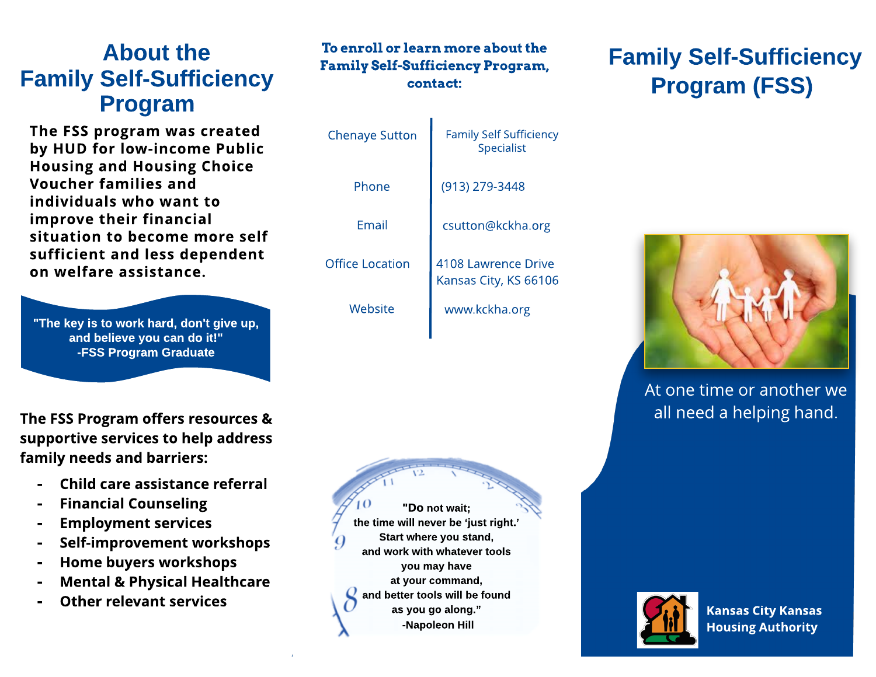#### About the Family Self-Sufficiency Program

The FSS program was created by HUD for low-income Public Housing and Housing Choice Voucher families and individuals who want to improve their financial situation to become more self sufficient and less dependent on welfare assistance.

"The key is to work hard, don't give up, and believe you can do it!" -FSS Program Graduate

The FSS Program offers resources & supportive services to help address family needs and barriers:

- Child care assistance referral
- **Financial Counseling**
- Employment services
- Self-improvement workshops
- Home buyers workshops
- **Mental & Physical Healthcare**
- Other relevant services

#### To enroll or learn more about the Family Self-Sufficiency Program, contact:

| <b>Chenaye Sutton</b>  | <b>Family Self Sufficiency</b><br><b>Specialist</b> |
|------------------------|-----------------------------------------------------|
| Phone                  | (913) 279-3448                                      |
| Fmail                  | csutton@kckha.org                                   |
| <b>Office Location</b> | 4108 Lawrence Drive<br>Kansas City, KS 66106        |
| Website                | www.kckha.org                                       |



## Family Self-Sufficiency Program (FSS)



At one time or another we all need a helping hand.



**Kansas City Kansas Housing Authority**